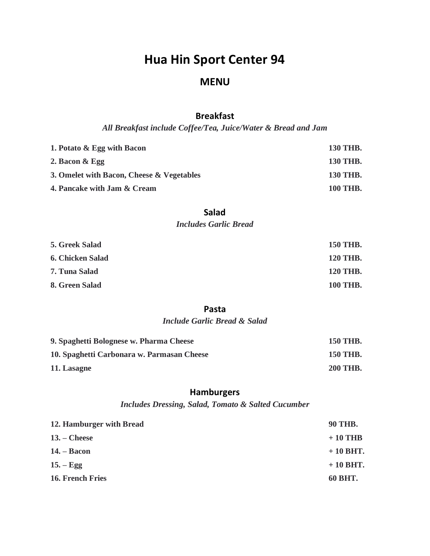# **Hua Hin Sport Center 94**

## **MENU**

#### **Breakfast**

*All Breakfast include Coffee/Tea, Juice/Water & Bread and Jam*

| 1. Potato & Egg with Bacon                | <b>130 THB.</b> |
|-------------------------------------------|-----------------|
| 2. Bacon $\&$ Egg                         | <b>130 THB.</b> |
| 3. Omelet with Bacon, Cheese & Vegetables | <b>130 THB.</b> |
| 4. Pancake with Jam & Cream               | <b>100 THB.</b> |

#### **Salad**

*Includes Garlic Bread*

| <b>5. Greek Salad</b>   | <b>150 THB.</b> |
|-------------------------|-----------------|
| <b>6. Chicken Salad</b> | <b>120 THB.</b> |
| <b>7. Tuna Salad</b>    | <b>120 THB.</b> |
| 8. Green Salad          | <b>100 THB.</b> |

#### **Pasta**

*Include Garlic Bread & Salad*

| 9. Spaghetti Bolognese w. Pharma Cheese    | 150 THB.        |
|--------------------------------------------|-----------------|
| 10. Spaghetti Carbonara w. Parmasan Cheese | <b>150 THB.</b> |
| 11. Lasagne                                | <b>200 THB.</b> |

#### **Hamburgers**

*Includes Dressing, Salad, Tomato & Salted Cucumber*

| <b>90 THB.</b> |
|----------------|
| $+10$ THB      |
| $+10$ BHT.     |
| $+10$ BHT.     |
| <b>60 BHT.</b> |
|                |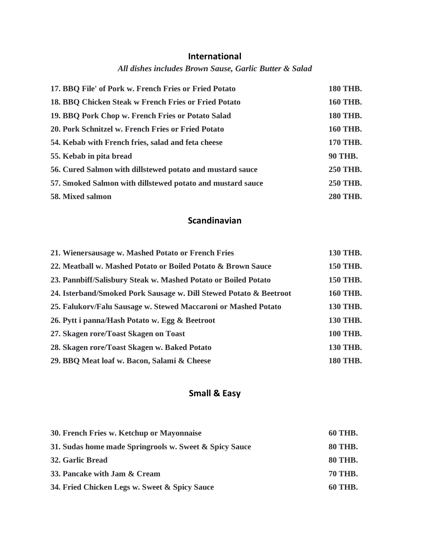### **International**

*All dishes includes Brown Sause, Garlic Butter & Salad*

| 17. BBQ File' of Pork w. French Fries or Fried Potato      | <b>180 THB.</b> |
|------------------------------------------------------------|-----------------|
| 18. BBQ Chicken Steak w French Fries or Fried Potato       | <b>160 THB.</b> |
| 19. BBQ Pork Chop w. French Fries or Potato Salad          | <b>180 THB.</b> |
| 20. Pork Schnitzel w. French Fries or Fried Potato         | <b>160 THB.</b> |
| 54. Kebab with French fries, salad and feta cheese         | <b>170 THB.</b> |
| 55. Kebab in pita bread                                    | <b>90 THB.</b>  |
| 56. Cured Salmon with dillstewed potato and mustard sauce  | <b>250 THB.</b> |
| 57. Smoked Salmon with dillstewed potato and mustard sauce | <b>250 THB.</b> |
| 58. Mixed salmon                                           | <b>280 THB.</b> |

#### **Scandinavian**

| 21. Wienersausage w. Mashed Potato or French Fries                 | <b>130 THB.</b> |
|--------------------------------------------------------------------|-----------------|
| 22. Meatball w. Mashed Potato or Boiled Potato & Brown Sauce       | <b>150 THB.</b> |
| 23. Pannbiff/Salisbury Steak w. Mashed Potato or Boiled Potato     | <b>150 THB.</b> |
| 24. Isterband/Smoked Pork Sausage w. Dill Stewed Potato & Beetroot | <b>160 THB.</b> |
| 25. Falukory/Falu Sausage w. Stewed Maccaroni or Mashed Potato     | <b>130 THB.</b> |
| 26. Pytt i panna/Hash Potato w. Egg & Beetroot                     | <b>130 THB.</b> |
| 27. Skagen rore/Toast Skagen on Toast                              | <b>100 THB.</b> |
| 28. Skagen rore/Toast Skagen w. Baked Potato                       | <b>130 THB.</b> |
| 29. BBQ Meat loaf w. Bacon, Salami & Cheese                        | <b>180 THB.</b> |

## **Small & Easy**

| 30. French Fries w. Ketchup or Mayonnaise              | 60 THB.        |
|--------------------------------------------------------|----------------|
| 31. Sudas home made Springrools w. Sweet & Spicy Sauce | <b>80 THB.</b> |
| 32. Garlic Bread                                       | 80 THB.        |
| 33. Pancake with Jam & Cream                           | <b>70 THB.</b> |
| 34. Fried Chicken Legs w. Sweet & Spicy Sauce          | 60 THB.        |